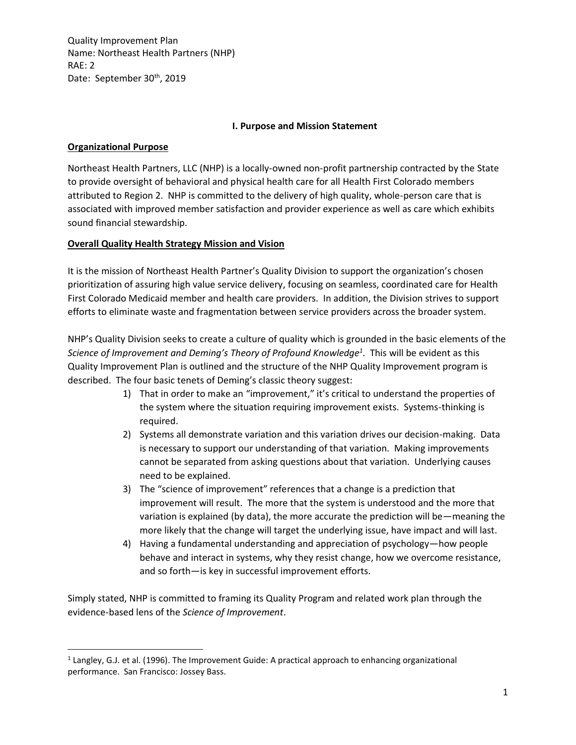### **I. Purpose and Mission Statement**

### **Organizational Purpose**

Northeast Health Partners, LLC (NHP) is a locally-owned non-profit partnership contracted by the State to provide oversight of behavioral and physical health care for all Health First Colorado members attributed to Region 2. NHP is committed to the delivery of high quality, whole-person care that is associated with improved member satisfaction and provider experience as well as care which exhibits sound financial stewardship.

### **Overall Quality Health Strategy Mission and Vision**

It is the mission of Northeast Health Partner's Quality Division to support the organization's chosen prioritization of assuring high value service delivery, focusing on seamless, coordinated care for Health First Colorado Medicaid member and health care providers. In addition, the Division strives to support efforts to eliminate waste and fragmentation between service providers across the broader system.

NHP's Quality Division seeks to create a culture of quality which is grounded in the basic elements of the *Science of Improvement and Deming's Theory of Profound Knowledge<sup>1</sup>* . This will be evident as this Quality Improvement Plan is outlined and the structure of the NHP Quality Improvement program is described. The four basic tenets of Deming's classic theory suggest:

- 1) That in order to make an "improvement," it's critical to understand the properties of the system where the situation requiring improvement exists. Systems-thinking is required.
- 2) Systems all demonstrate variation and this variation drives our decision-making. Data is necessary to support our understanding of that variation. Making improvements cannot be separated from asking questions about that variation. Underlying causes need to be explained.
- 3) The "science of improvement" references that a change is a prediction that improvement will result. The more that the system is understood and the more that variation is explained (by data), the more accurate the prediction will be—meaning the more likely that the change will target the underlying issue, have impact and will last.
- 4) Having a fundamental understanding and appreciation of psychology—how people behave and interact in systems, why they resist change, how we overcome resistance, and so forth—is key in successful improvement efforts.

Simply stated, NHP is committed to framing its Quality Program and related work plan through the evidence-based lens of the *Science of Improvement*.

<sup>1</sup> Langley, G.J. et al. (1996). The Improvement Guide: A practical approach to enhancing organizational performance. San Francisco: Jossey Bass.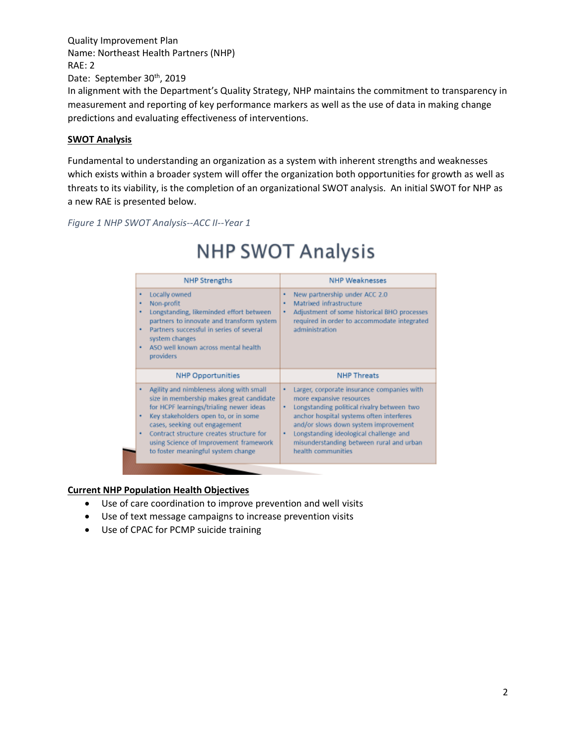In alignment with the Department's Quality Strategy, NHP maintains the commitment to transparency in measurement and reporting of key performance markers as well as the use of data in making change predictions and evaluating effectiveness of interventions.

### **SWOT Analysis**

Fundamental to understanding an organization as a system with inherent strengths and weaknesses which exists within a broader system will offer the organization both opportunities for growth as well as threats to its viability, is the completion of an organizational SWOT analysis. An initial SWOT for NHP as a new RAE is presented below.

*Figure 1 NHP SWOT Analysis--ACC II--Year 1*

### **NHP SWOT Analysis**

| <b>NHP Strengths</b>                                                                                                                                                                                                                                                                                                                          | <b>NHP Weaknesses</b>                                                                                                                                                                                                                                                                                                               |
|-----------------------------------------------------------------------------------------------------------------------------------------------------------------------------------------------------------------------------------------------------------------------------------------------------------------------------------------------|-------------------------------------------------------------------------------------------------------------------------------------------------------------------------------------------------------------------------------------------------------------------------------------------------------------------------------------|
| Locally owned<br>٠<br>Non-profit<br>٠<br>Longstanding, likeminded effort between<br>partners to innovate and transform system<br>Partners successful in series of several<br>system changes<br>ASO well known across mental health<br>providers                                                                                               | New partnership under ACC 2.0<br>٠<br>Matrixed infrastructure<br>٠<br>Adjustment of some historical BHO processes<br>٠<br>required in order to accommodate integrated<br>administration                                                                                                                                             |
| <b>NHP Opportunities</b>                                                                                                                                                                                                                                                                                                                      | <b>NHP Threats</b>                                                                                                                                                                                                                                                                                                                  |
| Agility and nimbleness along with small<br>٠<br>size in membership makes great candidate<br>for HCPF learnings/trialing newer ideas<br>Key stakeholders open to, or in some<br>٠<br>cases, seeking out engagement<br>Contract structure creates structure for<br>using Science of Improvement framework<br>to foster meaningful system change | Larger, corporate insurance companies with<br>٠<br>more expansive resources<br>Longstanding political rivalry between two<br>٠<br>anchor hospital systems often interferes<br>and/or slows down system improvement<br>Longstanding ideological challenge and<br>٠<br>misunderstanding between rural and urban<br>health communities |

### **Current NHP Population Health Objectives**

- Use of care coordination to improve prevention and well visits
- Use of text message campaigns to increase prevention visits
- Use of CPAC for PCMP suicide training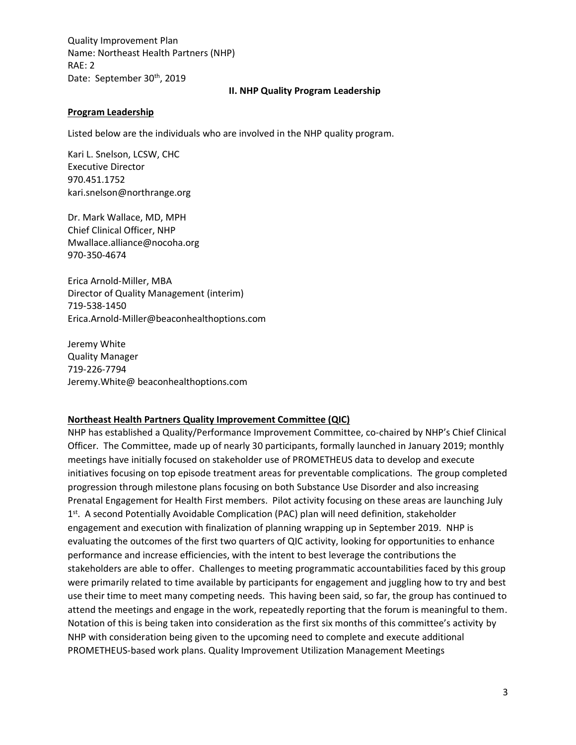### **II. NHP Quality Program Leadership**

### **Program Leadership**

Listed below are the individuals who are involved in the NHP quality program.

Kari L. Snelson, LCSW, CHC Executive Director 970.451.1752 kari.snelson@northrange.org

Dr. Mark Wallace, MD, MPH Chief Clinical Officer, NHP Mwallace.alliance@nocoha.org 970-350-4674

Erica Arnold-Miller, MBA Director of Quality Management (interim) 719-538-1450 [Erica.Arnold-Miller@beaconhealthoptions.com](mailto:Erica.Arnold-Miller@beaconhealthoptions.com)

Jeremy White Quality Manager 719-226-7794 Jeremy.White@ beaconhealthoptions.com

#### **Northeast Health Partners Quality Improvement Committee (QIC)**

NHP has established a Quality/Performance Improvement Committee, co-chaired by NHP's Chief Clinical Officer. The Committee, made up of nearly 30 participants, formally launched in January 2019; monthly meetings have initially focused on stakeholder use of PROMETHEUS data to develop and execute initiatives focusing on top episode treatment areas for preventable complications. The group completed progression through milestone plans focusing on both Substance Use Disorder and also increasing Prenatal Engagement for Health First members. Pilot activity focusing on these areas are launching July 1<sup>st</sup>. A second Potentially Avoidable Complication (PAC) plan will need definition, stakeholder engagement and execution with finalization of planning wrapping up in September 2019. NHP is evaluating the outcomes of the first two quarters of QIC activity, looking for opportunities to enhance performance and increase efficiencies, with the intent to best leverage the contributions the stakeholders are able to offer. Challenges to meeting programmatic accountabilities faced by this group were primarily related to time available by participants for engagement and juggling how to try and best use their time to meet many competing needs. This having been said, so far, the group has continued to attend the meetings and engage in the work, repeatedly reporting that the forum is meaningful to them. Notation of this is being taken into consideration as the first six months of this committee's activity by NHP with consideration being given to the upcoming need to complete and execute additional PROMETHEUS-based work plans. Quality Improvement Utilization Management Meetings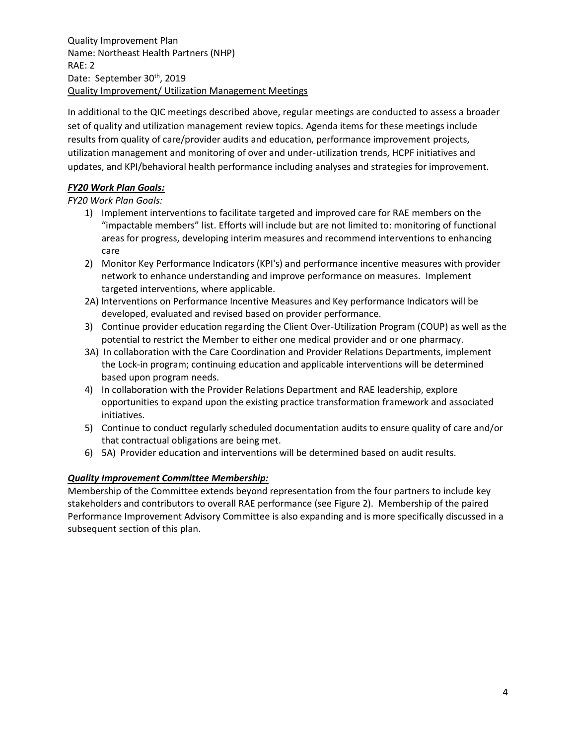Quality Improvement Plan Name: Northeast Health Partners (NHP) RAE: 2 Date: September 30<sup>th</sup>, 2019 Quality Improvement/ Utilization Management Meetings

In additional to the QIC meetings described above, regular meetings are conducted to assess a broader set of quality and utilization management review topics. Agenda items for these meetings include results from quality of care/provider audits and education, performance improvement projects, utilization management and monitoring of over and under-utilization trends, HCPF initiatives and updates, and KPI/behavioral health performance including analyses and strategies for improvement.

### *FY20 Work Plan Goals:*

*FY20 Work Plan Goals:*

- 1) Implement interventions to facilitate targeted and improved care for RAE members on the "impactable members" list. Efforts will include but are not limited to: monitoring of functional areas for progress, developing interim measures and recommend interventions to enhancing care
- 2) Monitor Key Performance Indicators (KPI's) and performance incentive measures with provider network to enhance understanding and improve performance on measures. Implement targeted interventions, where applicable.
- 2A) Interventions on Performance Incentive Measures and Key performance Indicators will be developed, evaluated and revised based on provider performance.
- 3) Continue provider education regarding the Client Over-Utilization Program (COUP) as well as the potential to restrict the Member to either one medical provider and or one pharmacy.
- 3A) In collaboration with the Care Coordination and Provider Relations Departments, implement the Lock-in program; continuing education and applicable interventions will be determined based upon program needs.
- 4) In collaboration with the Provider Relations Department and RAE leadership, explore opportunities to expand upon the existing practice transformation framework and associated initiatives.
- 5) Continue to conduct regularly scheduled documentation audits to ensure quality of care and/or that contractual obligations are being met.
- 6) 5A) Provider education and interventions will be determined based on audit results.

### *Quality Improvement Committee Membership:*

Membership of the Committee extends beyond representation from the four partners to include key stakeholders and contributors to overall RAE performance (see Figure 2). Membership of the paired Performance Improvement Advisory Committee is also expanding and is more specifically discussed in a subsequent section of this plan.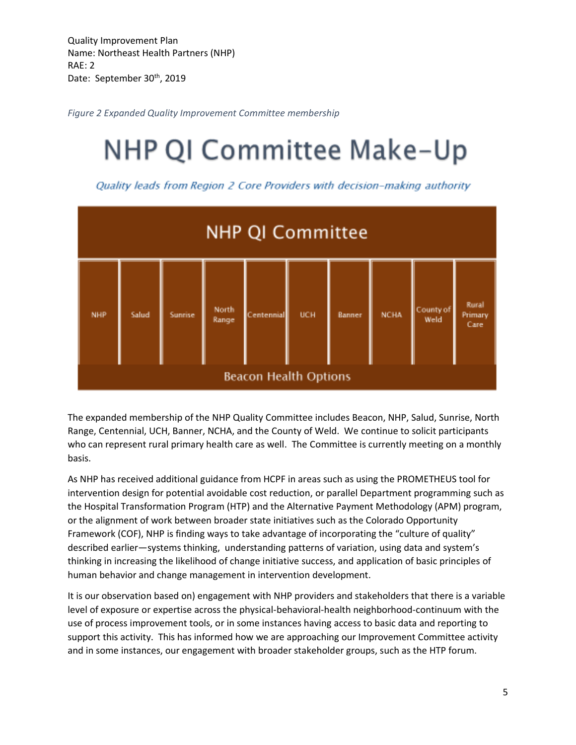*Figure 2 Expanded Quality Improvement Committee membership*

# NHP QI Committee Make-Up

Quality leads from Region 2 Core Providers with decision-making authority



The expanded membership of the NHP Quality Committee includes Beacon, NHP, Salud, Sunrise, North Range, Centennial, UCH, Banner, NCHA, and the County of Weld. We continue to solicit participants who can represent rural primary health care as well. The Committee is currently meeting on a monthly basis.

As NHP has received additional guidance from HCPF in areas such as using the PROMETHEUS tool for intervention design for potential avoidable cost reduction, or parallel Department programming such as the Hospital Transformation Program (HTP) and the Alternative Payment Methodology (APM) program, or the alignment of work between broader state initiatives such as the Colorado Opportunity Framework (COF), NHP is finding ways to take advantage of incorporating the "culture of quality" described earlier—systems thinking, understanding patterns of variation, using data and system's thinking in increasing the likelihood of change initiative success, and application of basic principles of human behavior and change management in intervention development.

It is our observation based on) engagement with NHP providers and stakeholders that there is a variable level of exposure or expertise across the physical-behavioral-health neighborhood-continuum with the use of process improvement tools, or in some instances having access to basic data and reporting to support this activity. This has informed how we are approaching our Improvement Committee activity and in some instances, our engagement with broader stakeholder groups, such as the HTP forum.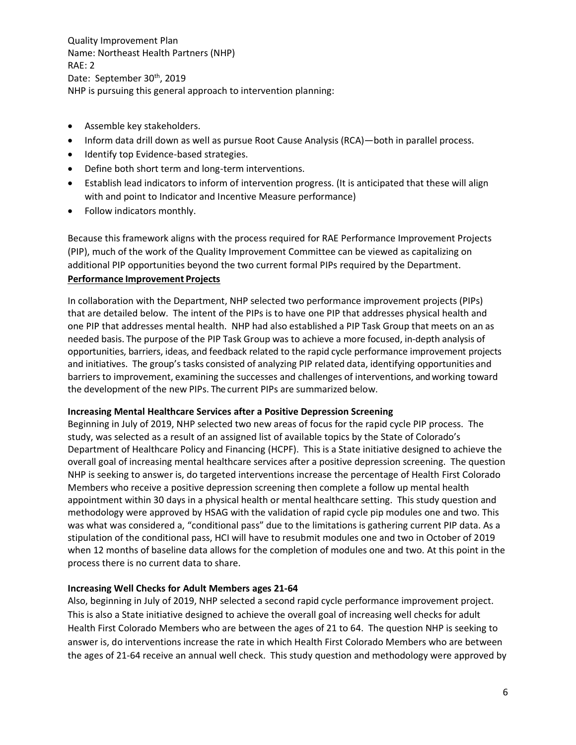Quality Improvement Plan Name: Northeast Health Partners (NHP) RAE: 2 Date: September 30<sup>th</sup>, 2019 NHP is pursuing this general approach to intervention planning:

- Assemble key stakeholders.
- Inform data drill down as well as pursue Root Cause Analysis (RCA)—both in parallel process.
- Identify top Evidence-based strategies.
- Define both short term and long-term interventions.
- Establish lead indicators to inform of intervention progress. (It is anticipated that these will align with and point to Indicator and Incentive Measure performance)
- Follow indicators monthly.

Because this framework aligns with the process required for RAE Performance Improvement Projects (PIP), much of the work of the Quality Improvement Committee can be viewed as capitalizing on additional PIP opportunities beyond the two current formal PIPs required by the Department. **Performance Improvement Projects**

In collaboration with the Department, NHP selected two performance improvement projects (PIPs) that are detailed below. The intent of the PIPs is to have one PIP that addresses physical health and one PIP that addresses mental health. NHP had also established a PIP Task Group that meets on an as needed basis. The purpose of the PIP Task Group was to achieve a more focused, in-depth analysis of opportunities, barriers, ideas, and feedback related to the rapid cycle performance improvement projects and initiatives. The group's tasks consisted of analyzing PIP related data, identifying opportunities and barriers to improvement, examining the successes and challenges of interventions, and working toward the development of the new PIPs. The current PIPs are summarized below.

### **Increasing Mental Healthcare Services after a Positive Depression Screening**

Beginning in July of 2019, NHP selected two new areas of focus for the rapid cycle PIP process. The study, was selected as a result of an assigned list of available topics by the State of Colorado's Department of Healthcare Policy and Financing (HCPF). This is a State initiative designed to achieve the overall goal of increasing mental healthcare services after a positive depression screening. The question NHP is seeking to answer is, do targeted interventions increase the percentage of Health First Colorado Members who receive a positive depression screening then complete a follow up mental health appointment within 30 days in a physical health or mental healthcare setting. This study question and methodology were approved by HSAG with the validation of rapid cycle pip modules one and two. This was what was considered a, "conditional pass" due to the limitations is gathering current PIP data. As a stipulation of the conditional pass, HCI will have to resubmit modules one and two in October of 2019 when 12 months of baseline data allows for the completion of modules one and two. At this point in the process there is no current data to share.

### **Increasing Well Checks for Adult Members ages 21-64**

Also, beginning in July of 2019, NHP selected a second rapid cycle performance improvement project. This is also a State initiative designed to achieve the overall goal of increasing well checks for adult Health First Colorado Members who are between the ages of 21 to 64. The question NHP is seeking to answer is, do interventions increase the rate in which Health First Colorado Members who are between the ages of 21-64 receive an annual well check. This study question and methodology were approved by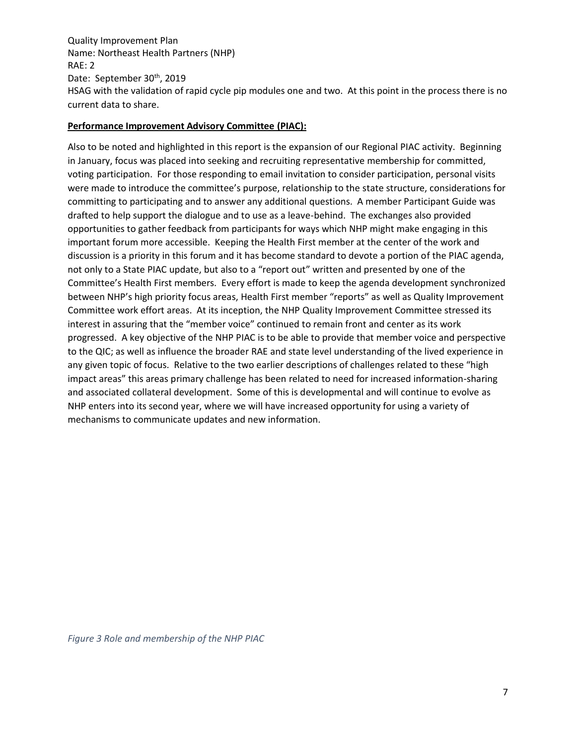Quality Improvement Plan Name: Northeast Health Partners (NHP) RAE: 2 Date: September 30<sup>th</sup>, 2019 HSAG with the validation of rapid cycle pip modules one and two. At this point in the process there is no current data to share.

### **Performance Improvement Advisory Committee (PIAC):**

Also to be noted and highlighted in this report is the expansion of our Regional PIAC activity. Beginning in January, focus was placed into seeking and recruiting representative membership for committed, voting participation. For those responding to email invitation to consider participation, personal visits were made to introduce the committee's purpose, relationship to the state structure, considerations for committing to participating and to answer any additional questions. A member Participant Guide was drafted to help support the dialogue and to use as a leave-behind. The exchanges also provided opportunities to gather feedback from participants for ways which NHP might make engaging in this important forum more accessible. Keeping the Health First member at the center of the work and discussion is a priority in this forum and it has become standard to devote a portion of the PIAC agenda, not only to a State PIAC update, but also to a "report out" written and presented by one of the Committee's Health First members. Every effort is made to keep the agenda development synchronized between NHP's high priority focus areas, Health First member "reports" as well as Quality Improvement Committee work effort areas. At its inception, the NHP Quality Improvement Committee stressed its interest in assuring that the "member voice" continued to remain front and center as its work progressed. A key objective of the NHP PIAC is to be able to provide that member voice and perspective to the QIC; as well as influence the broader RAE and state level understanding of the lived experience in any given topic of focus. Relative to the two earlier descriptions of challenges related to these "high impact areas" this areas primary challenge has been related to need for increased information-sharing and associated collateral development. Some of this is developmental and will continue to evolve as NHP enters into its second year, where we will have increased opportunity for using a variety of mechanisms to communicate updates and new information.

*Figure 3 Role and membership of the NHP PIAC*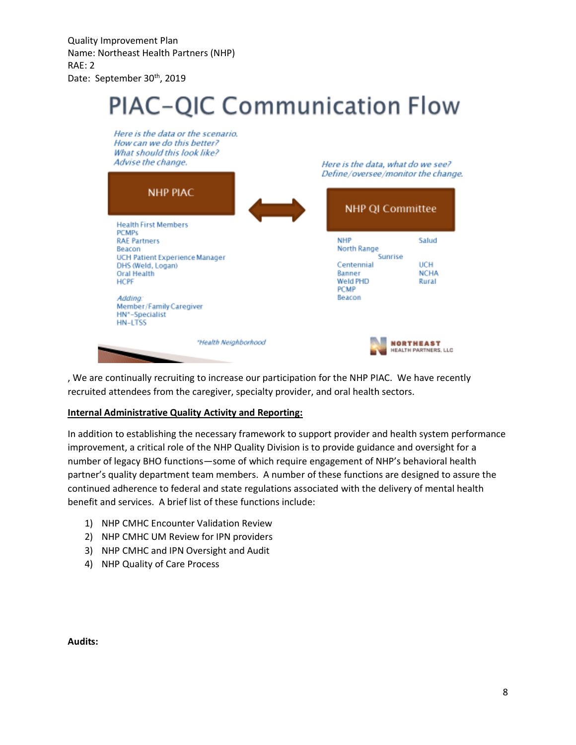# **PIAC-QIC Communication Flow**



, We are continually recruiting to increase our participation for the NHP PIAC. We have recently recruited attendees from the caregiver, specialty provider, and oral health sectors.

### **Internal Administrative Quality Activity and Reporting:**

In addition to establishing the necessary framework to support provider and health system performance improvement, a critical role of the NHP Quality Division is to provide guidance and oversight for a number of legacy BHO functions—some of which require engagement of NHP's behavioral health partner's quality department team members. A number of these functions are designed to assure the continued adherence to federal and state regulations associated with the delivery of mental health benefit and services. A brief list of these functions include:

- 1) NHP CMHC Encounter Validation Review
- 2) NHP CMHC UM Review for IPN providers
- 3) NHP CMHC and IPN Oversight and Audit
- 4) NHP Quality of Care Process

**Audits:**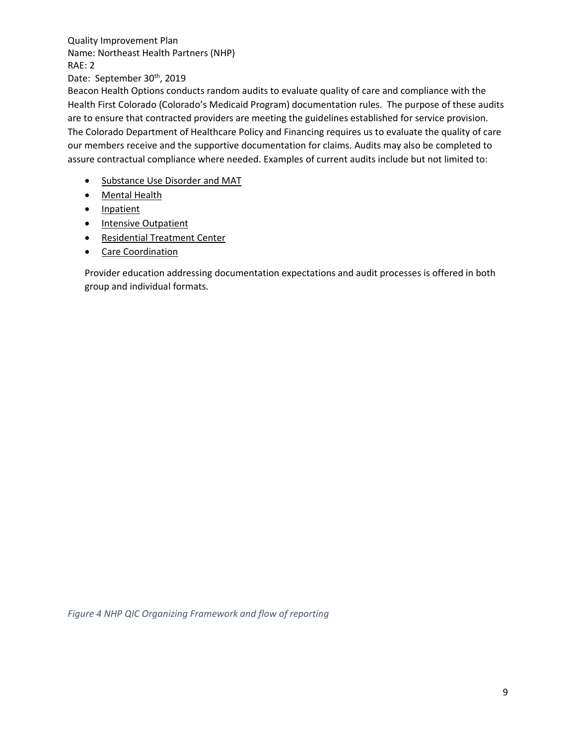Date: September 30th, 2019

Beacon Health Options conducts random audits to evaluate quality of care and compliance with the Health First Colorado (Colorado's Medicaid Program) documentation rules. The purpose of these audits are to ensure that contracted providers are meeting the guidelines established for service provision. The Colorado Department of Healthcare Policy and Financing requires us to evaluate the quality of care our members receive and the supportive documentation for claims. Audits may also be completed to assure contractual compliance where needed. Examples of current audits include but not limited to:

- Substance Use Disorder and MAT
- Mental Health
- Inpatient
- Intensive Outpatient
- Residential Treatment Center
- Care Coordination

Provider education addressing documentation expectations and audit processes is offered in both group and individual formats.

*Figure 4 NHP QIC Organizing Framework and flow of reporting*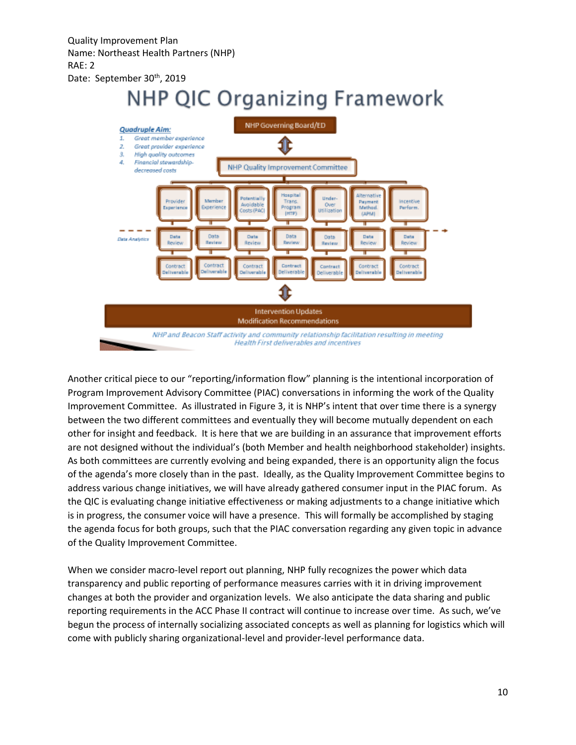## **NHP QIC Organizing Framework**



Another critical piece to our "reporting/information flow" planning is the intentional incorporation of Program Improvement Advisory Committee (PIAC) conversations in informing the work of the Quality Improvement Committee. As illustrated in Figure 3, it is NHP's intent that over time there is a synergy between the two different committees and eventually they will become mutually dependent on each other for insight and feedback. It is here that we are building in an assurance that improvement efforts are not designed without the individual's (both Member and health neighborhood stakeholder) insights. As both committees are currently evolving and being expanded, there is an opportunity align the focus of the agenda's more closely than in the past. Ideally, as the Quality Improvement Committee begins to address various change initiatives, we will have already gathered consumer input in the PIAC forum. As the QIC is evaluating change initiative effectiveness or making adjustments to a change initiative which is in progress, the consumer voice will have a presence. This will formally be accomplished by staging the agenda focus for both groups, such that the PIAC conversation regarding any given topic in advance of the Quality Improvement Committee.

When we consider macro-level report out planning, NHP fully recognizes the power which data transparency and public reporting of performance measures carries with it in driving improvement changes at both the provider and organization levels. We also anticipate the data sharing and public reporting requirements in the ACC Phase II contract will continue to increase over time. As such, we've begun the process of internally socializing associated concepts as well as planning for logistics which will come with publicly sharing organizational-level and provider-level performance data.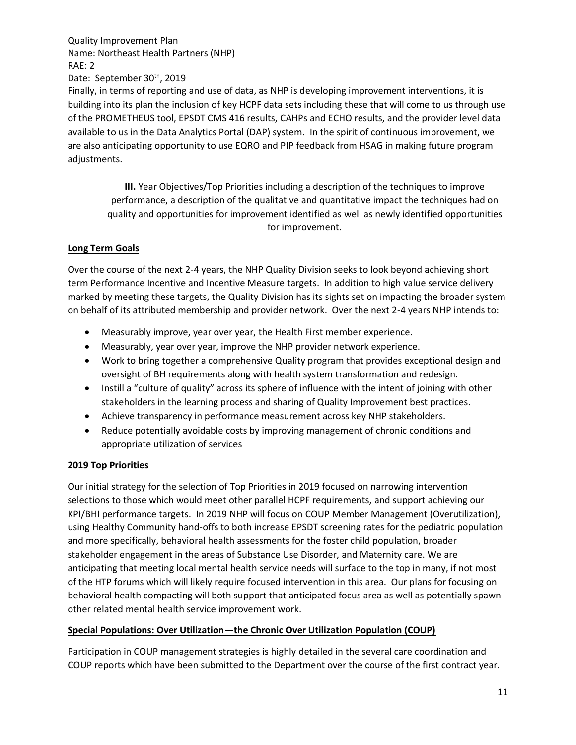Finally, in terms of reporting and use of data, as NHP is developing improvement interventions, it is building into its plan the inclusion of key HCPF data sets including these that will come to us through use of the PROMETHEUS tool, EPSDT CMS 416 results, CAHPs and ECHO results, and the provider level data available to us in the Data Analytics Portal (DAP) system. In the spirit of continuous improvement, we are also anticipating opportunity to use EQRO and PIP feedback from HSAG in making future program adjustments.

**III.** Year Objectives/Top Priorities including a description of the techniques to improve performance, a description of the qualitative and quantitative impact the techniques had on quality and opportunities for improvement identified as well as newly identified opportunities for improvement.

### **Long Term Goals**

Over the course of the next 2-4 years, the NHP Quality Division seeks to look beyond achieving short term Performance Incentive and Incentive Measure targets. In addition to high value service delivery marked by meeting these targets, the Quality Division has its sights set on impacting the broader system on behalf of its attributed membership and provider network. Over the next 2-4 years NHP intends to:

- Measurably improve, year over year, the Health First member experience.
- Measurably, year over year, improve the NHP provider network experience.
- Work to bring together a comprehensive Quality program that provides exceptional design and oversight of BH requirements along with health system transformation and redesign.
- Instill a "culture of quality" across its sphere of influence with the intent of joining with other stakeholders in the learning process and sharing of Quality Improvement best practices.
- Achieve transparency in performance measurement across key NHP stakeholders.
- Reduce potentially avoidable costs by improving management of chronic conditions and appropriate utilization of services

### **2019 Top Priorities**

Our initial strategy for the selection of Top Priorities in 2019 focused on narrowing intervention selections to those which would meet other parallel HCPF requirements, and support achieving our KPI/BHI performance targets. In 2019 NHP will focus on COUP Member Management (Overutilization), using Healthy Community hand-offs to both increase EPSDT screening rates for the pediatric population and more specifically, behavioral health assessments for the foster child population, broader stakeholder engagement in the areas of Substance Use Disorder, and Maternity care. We are anticipating that meeting local mental health service needs will surface to the top in many, if not most of the HTP forums which will likely require focused intervention in this area. Our plans for focusing on behavioral health compacting will both support that anticipated focus area as well as potentially spawn other related mental health service improvement work.

### **Special Populations: Over Utilization—the Chronic Over Utilization Population (COUP)**

Participation in COUP management strategies is highly detailed in the several care coordination and COUP reports which have been submitted to the Department over the course of the first contract year.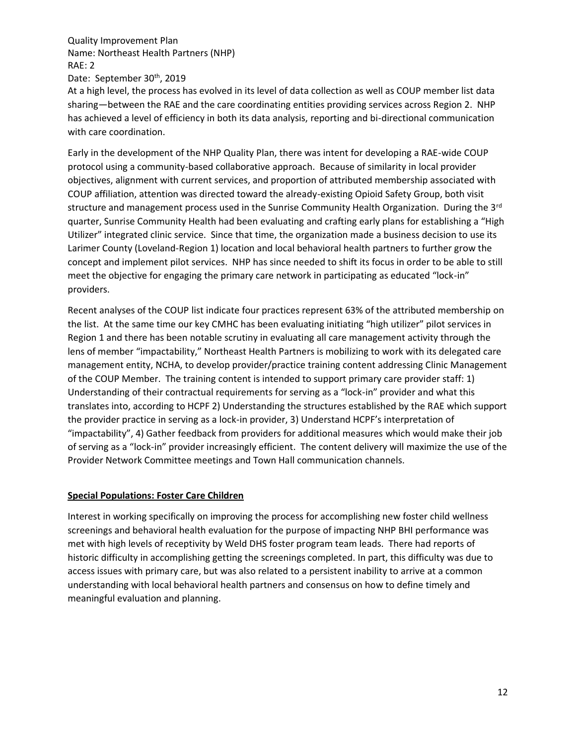At a high level, the process has evolved in its level of data collection as well as COUP member list data sharing—between the RAE and the care coordinating entities providing services across Region 2. NHP has achieved a level of efficiency in both its data analysis, reporting and bi-directional communication with care coordination.

Early in the development of the NHP Quality Plan, there was intent for developing a RAE-wide COUP protocol using a community-based collaborative approach. Because of similarity in local provider objectives, alignment with current services, and proportion of attributed membership associated with COUP affiliation, attention was directed toward the already-existing Opioid Safety Group, both visit structure and management process used in the Sunrise Community Health Organization. During the 3<sup>rd</sup> quarter, Sunrise Community Health had been evaluating and crafting early plans for establishing a "High Utilizer" integrated clinic service. Since that time, the organization made a business decision to use its Larimer County (Loveland-Region 1) location and local behavioral health partners to further grow the concept and implement pilot services. NHP has since needed to shift its focus in order to be able to still meet the objective for engaging the primary care network in participating as educated "lock-in" providers.

Recent analyses of the COUP list indicate four practices represent 63% of the attributed membership on the list. At the same time our key CMHC has been evaluating initiating "high utilizer" pilot services in Region 1 and there has been notable scrutiny in evaluating all care management activity through the lens of member "impactability," Northeast Health Partners is mobilizing to work with its delegated care management entity, NCHA, to develop provider/practice training content addressing Clinic Management of the COUP Member. The training content is intended to support primary care provider staff: 1) Understanding of their contractual requirements for serving as a "lock-in" provider and what this translates into, according to HCPF 2) Understanding the structures established by the RAE which support the provider practice in serving as a lock-in provider, 3) Understand HCPF's interpretation of "impactability", 4) Gather feedback from providers for additional measures which would make their job of serving as a "lock-in" provider increasingly efficient. The content delivery will maximize the use of the Provider Network Committee meetings and Town Hall communication channels.

### **Special Populations: Foster Care Children**

Interest in working specifically on improving the process for accomplishing new foster child wellness screenings and behavioral health evaluation for the purpose of impacting NHP BHI performance was met with high levels of receptivity by Weld DHS foster program team leads. There had reports of historic difficulty in accomplishing getting the screenings completed. In part, this difficulty was due to access issues with primary care, but was also related to a persistent inability to arrive at a common understanding with local behavioral health partners and consensus on how to define timely and meaningful evaluation and planning.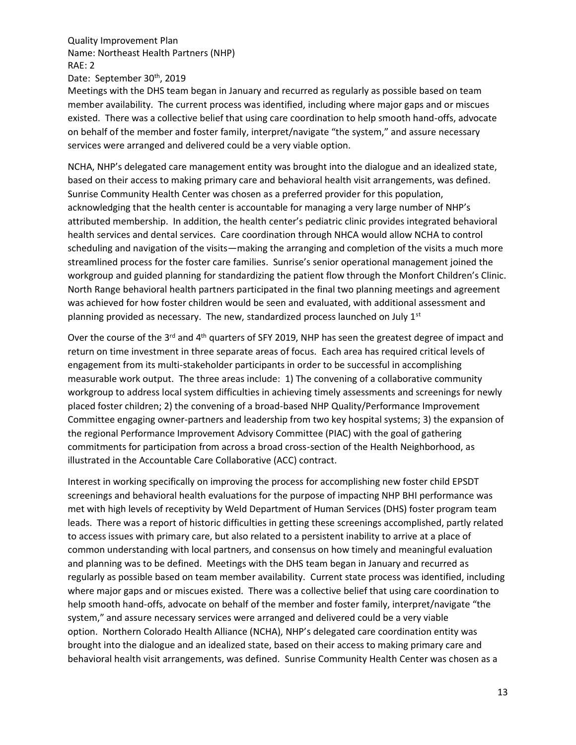Date: September 30<sup>th</sup>, 2019

Meetings with the DHS team began in January and recurred as regularly as possible based on team member availability. The current process was identified, including where major gaps and or miscues existed. There was a collective belief that using care coordination to help smooth hand-offs, advocate on behalf of the member and foster family, interpret/navigate "the system," and assure necessary services were arranged and delivered could be a very viable option.

NCHA, NHP's delegated care management entity was brought into the dialogue and an idealized state, based on their access to making primary care and behavioral health visit arrangements, was defined. Sunrise Community Health Center was chosen as a preferred provider for this population, acknowledging that the health center is accountable for managing a very large number of NHP's attributed membership. In addition, the health center's pediatric clinic provides integrated behavioral health services and dental services. Care coordination through NHCA would allow NCHA to control scheduling and navigation of the visits—making the arranging and completion of the visits a much more streamlined process for the foster care families. Sunrise's senior operational management joined the workgroup and guided planning for standardizing the patient flow through the Monfort Children's Clinic. North Range behavioral health partners participated in the final two planning meetings and agreement was achieved for how foster children would be seen and evaluated, with additional assessment and planning provided as necessary. The new, standardized process launched on July  $1<sup>st</sup>$ 

Over the course of the 3<sup>rd</sup> and 4<sup>th</sup> quarters of SFY 2019, NHP has seen the greatest degree of impact and return on time investment in three separate areas of focus. Each area has required critical levels of engagement from its multi-stakeholder participants in order to be successful in accomplishing measurable work output. The three areas include: 1) The convening of a collaborative community workgroup to address local system difficulties in achieving timely assessments and screenings for newly placed foster children; 2) the convening of a broad-based NHP Quality/Performance Improvement Committee engaging owner-partners and leadership from two key hospital systems; 3) the expansion of the regional Performance Improvement Advisory Committee (PIAC) with the goal of gathering commitments for participation from across a broad cross-section of the Health Neighborhood, as illustrated in the Accountable Care Collaborative (ACC) contract.

Interest in working specifically on improving the process for accomplishing new foster child EPSDT screenings and behavioral health evaluations for the purpose of impacting NHP BHI performance was met with high levels of receptivity by Weld Department of Human Services (DHS) foster program team leads. There was a report of historic difficulties in getting these screenings accomplished, partly related to access issues with primary care, but also related to a persistent inability to arrive at a place of common understanding with local partners, and consensus on how timely and meaningful evaluation and planning was to be defined. Meetings with the DHS team began in January and recurred as regularly as possible based on team member availability. Current state process was identified, including where major gaps and or miscues existed. There was a collective belief that using care coordination to help smooth hand-offs, advocate on behalf of the member and foster family, interpret/navigate "the system," and assure necessary services were arranged and delivered could be a very viable option. Northern Colorado Health Alliance (NCHA), NHP's delegated care coordination entity was brought into the dialogue and an idealized state, based on their access to making primary care and behavioral health visit arrangements, was defined. Sunrise Community Health Center was chosen as a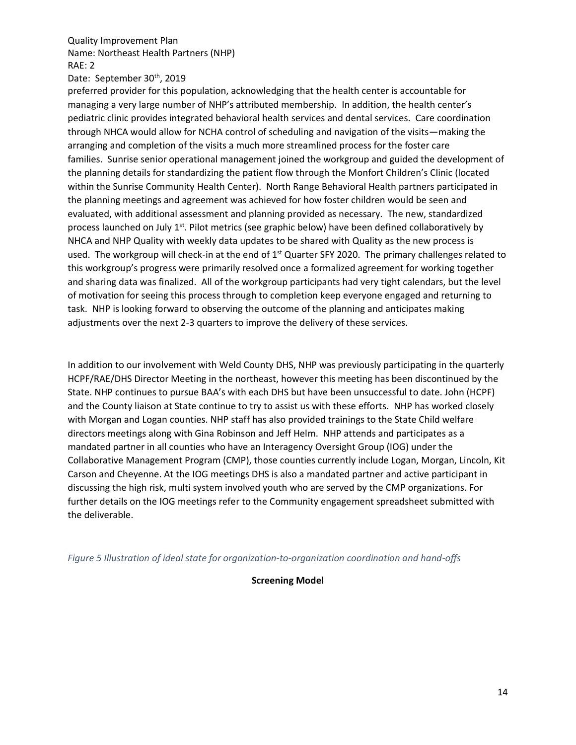Date: September 30<sup>th</sup>, 2019

preferred provider for this population, acknowledging that the health center is accountable for managing a very large number of NHP's attributed membership. In addition, the health center's pediatric clinic provides integrated behavioral health services and dental services. Care coordination through NHCA would allow for NCHA control of scheduling and navigation of the visits—making the arranging and completion of the visits a much more streamlined process for the foster care families. Sunrise senior operational management joined the workgroup and guided the development of the planning details for standardizing the patient flow through the Monfort Children's Clinic (located within the Sunrise Community Health Center). North Range Behavioral Health partners participated in the planning meetings and agreement was achieved for how foster children would be seen and evaluated, with additional assessment and planning provided as necessary. The new, standardized process launched on July 1<sup>st</sup>. Pilot metrics (see graphic below) have been defined collaboratively by NHCA and NHP Quality with weekly data updates to be shared with Quality as the new process is used. The workgroup will check-in at the end of  $1<sup>st</sup>$  Quarter SFY 2020. The primary challenges related to this workgroup's progress were primarily resolved once a formalized agreement for working together and sharing data was finalized. All of the workgroup participants had very tight calendars, but the level of motivation for seeing this process through to completion keep everyone engaged and returning to task. NHP is looking forward to observing the outcome of the planning and anticipates making adjustments over the next 2-3 quarters to improve the delivery of these services.

In addition to our involvement with Weld County DHS, NHP was previously participating in the quarterly HCPF/RAE/DHS Director Meeting in the northeast, however this meeting has been discontinued by the State. NHP continues to pursue BAA's with each DHS but have been unsuccessful to date. John (HCPF) and the County liaison at State continue to try to assist us with these efforts. NHP has worked closely with Morgan and Logan counties. NHP staff has also provided trainings to the State Child welfare directors meetings along with Gina Robinson and Jeff Helm. NHP attends and participates as a mandated partner in all counties who have an Interagency Oversight Group (IOG) under the Collaborative Management Program (CMP), those counties currently include Logan, Morgan, Lincoln, Kit Carson and Cheyenne. At the IOG meetings DHS is also a mandated partner and active participant in discussing the high risk, multi system involved youth who are served by the CMP organizations. For further details on the IOG meetings refer to the Community engagement spreadsheet submitted with the deliverable.

*Figure 5 Illustration of ideal state for organization-to-organization coordination and hand-offs*

### **Screening Model**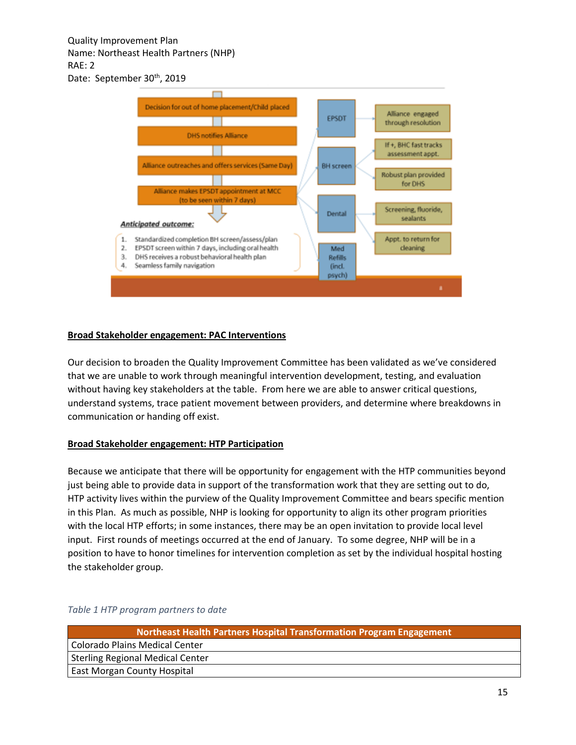

### **Broad Stakeholder engagement: PAC Interventions**

Our decision to broaden the Quality Improvement Committee has been validated as we've considered that we are unable to work through meaningful intervention development, testing, and evaluation without having key stakeholders at the table. From here we are able to answer critical questions, understand systems, trace patient movement between providers, and determine where breakdowns in communication or handing off exist.

### **Broad Stakeholder engagement: HTP Participation**

Because we anticipate that there will be opportunity for engagement with the HTP communities beyond just being able to provide data in support of the transformation work that they are setting out to do, HTP activity lives within the purview of the Quality Improvement Committee and bears specific mention in this Plan. As much as possible, NHP is looking for opportunity to align its other program priorities with the local HTP efforts; in some instances, there may be an open invitation to provide local level input. First rounds of meetings occurred at the end of January. To some degree, NHP will be in a position to have to honor timelines for intervention completion as set by the individual hospital hosting the stakeholder group.

| Northeast Health Partners Hospital Transformation Program Engagement |  |  |  |
|----------------------------------------------------------------------|--|--|--|
| <b>Colorado Plains Medical Center</b>                                |  |  |  |
| Sterling Regional Medical Center                                     |  |  |  |
| <b>East Morgan County Hospital</b>                                   |  |  |  |

### *Table 1 HTP program partners to date*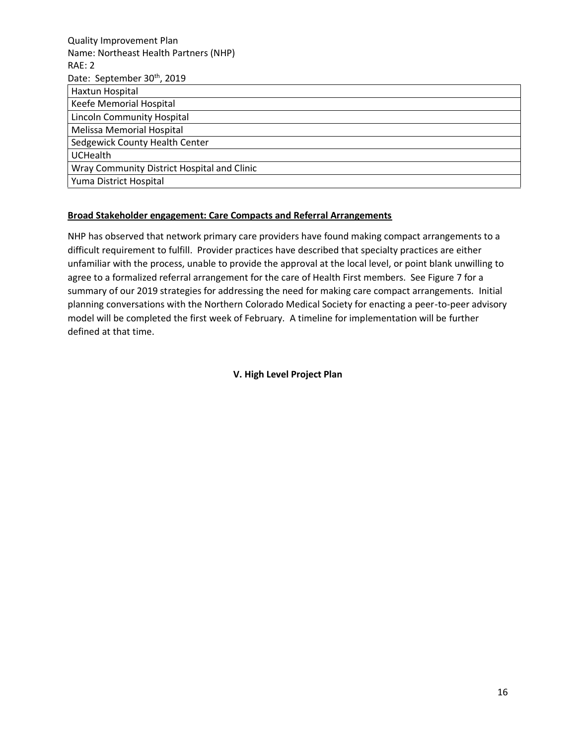| <b>Quality Improvement Plan</b>             |
|---------------------------------------------|
| Name: Northeast Health Partners (NHP)       |
| RAE: 2                                      |
| Date: September 30th, 2019                  |
| Haxtun Hospital                             |
| Keefe Memorial Hospital                     |
| <b>Lincoln Community Hospital</b>           |
| Melissa Memorial Hospital                   |
| Sedgewick County Health Center              |
| <b>UCHealth</b>                             |
| Wray Community District Hospital and Clinic |
| Yuma District Hospital                      |

### **Broad Stakeholder engagement: Care Compacts and Referral Arrangements**

NHP has observed that network primary care providers have found making compact arrangements to a difficult requirement to fulfill. Provider practices have described that specialty practices are either unfamiliar with the process, unable to provide the approval at the local level, or point blank unwilling to agree to a formalized referral arrangement for the care of Health First members. See Figure 7 for a summary of our 2019 strategies for addressing the need for making care compact arrangements. Initial planning conversations with the Northern Colorado Medical Society for enacting a peer-to-peer advisory model will be completed the first week of February. A timeline for implementation will be further defined at that time.

**V. High Level Project Plan**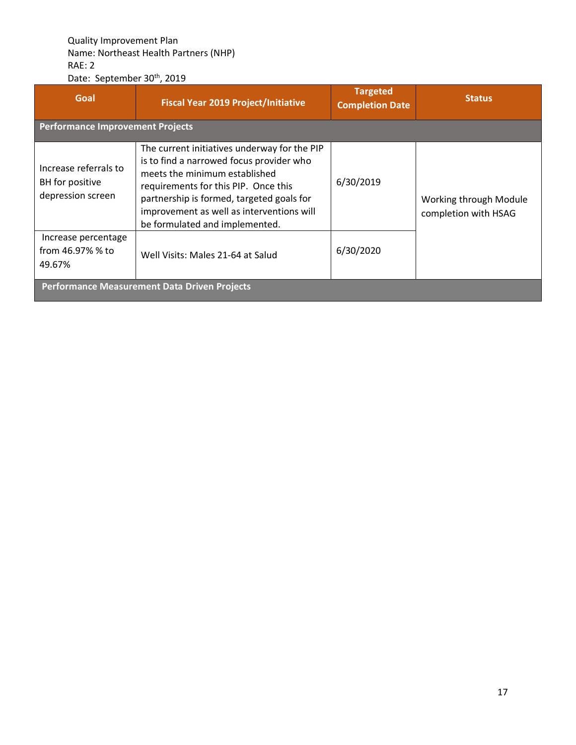| Goal                                                          | <b>Fiscal Year 2019 Project/Initiative</b>                                                                                                                                                                                                                                                    | <b>Targeted</b><br><b>Completion Date</b> | <b>Status</b>                                  |
|---------------------------------------------------------------|-----------------------------------------------------------------------------------------------------------------------------------------------------------------------------------------------------------------------------------------------------------------------------------------------|-------------------------------------------|------------------------------------------------|
| <b>Performance Improvement Projects</b>                       |                                                                                                                                                                                                                                                                                               |                                           |                                                |
| Increase referrals to<br>BH for positive<br>depression screen | The current initiatives underway for the PIP<br>is to find a narrowed focus provider who<br>meets the minimum established<br>requirements for this PIP. Once this<br>partnership is formed, targeted goals for<br>improvement as well as interventions will<br>be formulated and implemented. | 6/30/2019                                 | Working through Module<br>completion with HSAG |
| Increase percentage<br>from 46.97% % to<br>49.67%             | Well Visits: Males 21-64 at Salud                                                                                                                                                                                                                                                             | 6/30/2020                                 |                                                |
| Performance Measurement Data Driven Projects                  |                                                                                                                                                                                                                                                                                               |                                           |                                                |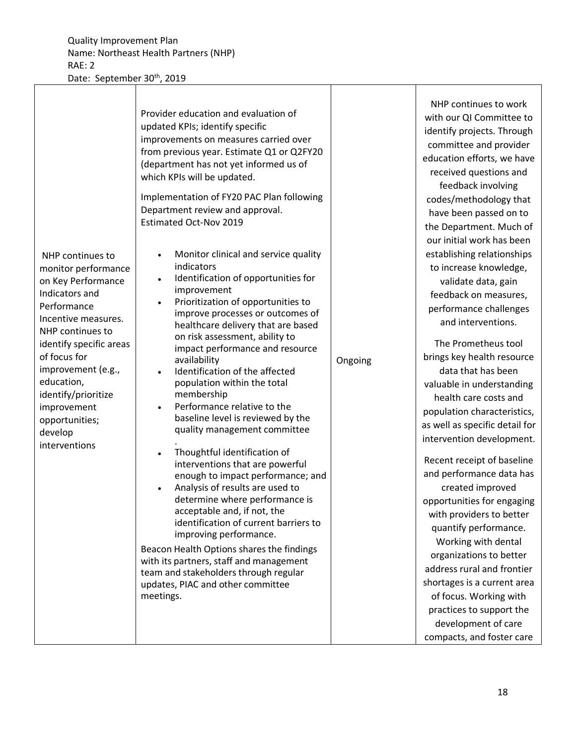|                                                                                                                                                                                                                                                                                                              | Provider education and evaluation of<br>updated KPIs; identify specific<br>improvements on measures carried over<br>from previous year. Estimate Q1 or Q2FY20<br>(department has not yet informed us of<br>which KPIs will be updated.<br>Implementation of FY20 PAC Plan following<br>Department review and approval.<br><b>Estimated Oct-Nov 2019</b>                                                                                                                                                                                                                                                                                                                                                                                                                                                                                                                                                                                                            |         | NHP continues to work<br>with our QI Committee to<br>identify projects. Through<br>committee and provider<br>education efforts, we have<br>received questions and<br>feedback involving<br>codes/methodology that<br>have been passed on to<br>the Department. Much of                                                                                                                                                                                                                                                                                                                                                                                                                                                                                                                                     |
|--------------------------------------------------------------------------------------------------------------------------------------------------------------------------------------------------------------------------------------------------------------------------------------------------------------|--------------------------------------------------------------------------------------------------------------------------------------------------------------------------------------------------------------------------------------------------------------------------------------------------------------------------------------------------------------------------------------------------------------------------------------------------------------------------------------------------------------------------------------------------------------------------------------------------------------------------------------------------------------------------------------------------------------------------------------------------------------------------------------------------------------------------------------------------------------------------------------------------------------------------------------------------------------------|---------|------------------------------------------------------------------------------------------------------------------------------------------------------------------------------------------------------------------------------------------------------------------------------------------------------------------------------------------------------------------------------------------------------------------------------------------------------------------------------------------------------------------------------------------------------------------------------------------------------------------------------------------------------------------------------------------------------------------------------------------------------------------------------------------------------------|
| NHP continues to<br>monitor performance<br>on Key Performance<br>Indicators and<br>Performance<br>Incentive measures.<br>NHP continues to<br>identify specific areas<br>of focus for<br>improvement (e.g.,<br>education,<br>identify/prioritize<br>improvement<br>opportunities;<br>develop<br>interventions | Monitor clinical and service quality<br>indicators<br>Identification of opportunities for<br>improvement<br>Prioritization of opportunities to<br>improve processes or outcomes of<br>healthcare delivery that are based<br>on risk assessment, ability to<br>impact performance and resource<br>availability<br>Identification of the affected<br>population within the total<br>membership<br>Performance relative to the<br>baseline level is reviewed by the<br>quality management committee<br>Thoughtful identification of<br>interventions that are powerful<br>enough to impact performance; and<br>Analysis of results are used to<br>determine where performance is<br>acceptable and, if not, the<br>identification of current barriers to<br>improving performance.<br>Beacon Health Options shares the findings<br>with its partners, staff and management<br>team and stakeholders through regular<br>updates, PIAC and other committee<br>meetings. | Ongoing | our initial work has been<br>establishing relationships<br>to increase knowledge,<br>validate data, gain<br>feedback on measures,<br>performance challenges<br>and interventions.<br>The Prometheus tool<br>brings key health resource<br>data that has been<br>valuable in understanding<br>health care costs and<br>population characteristics,<br>as well as specific detail for<br>intervention development.<br>Recent receipt of baseline<br>and performance data has<br>created improved<br>opportunities for engaging<br>with providers to better<br>quantify performance.<br>Working with dental<br>organizations to better<br>address rural and frontier<br>shortages is a current area<br>of focus. Working with<br>practices to support the<br>development of care<br>compacts, and foster care |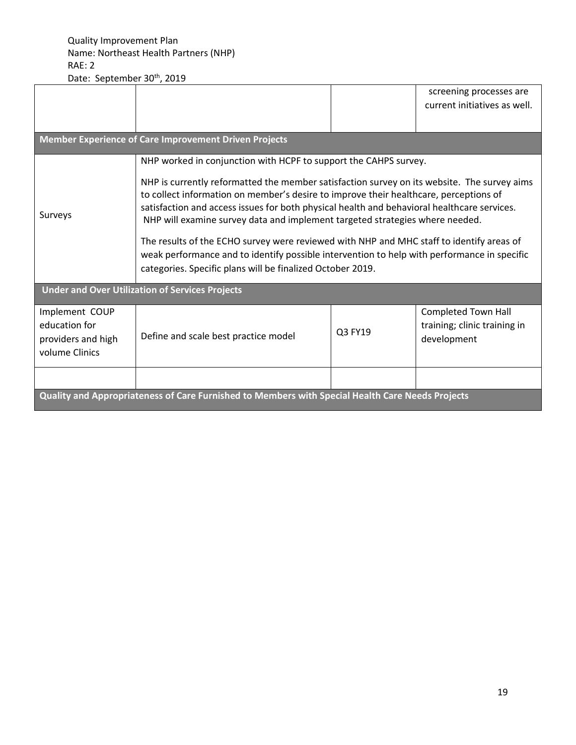|                                                                                                                                                                                                                                                                                                                                                                                                                                                                                                                                                                                                                                                                                                             |                                      |         | screening processes are                                            |
|-------------------------------------------------------------------------------------------------------------------------------------------------------------------------------------------------------------------------------------------------------------------------------------------------------------------------------------------------------------------------------------------------------------------------------------------------------------------------------------------------------------------------------------------------------------------------------------------------------------------------------------------------------------------------------------------------------------|--------------------------------------|---------|--------------------------------------------------------------------|
|                                                                                                                                                                                                                                                                                                                                                                                                                                                                                                                                                                                                                                                                                                             |                                      |         | current initiatives as well.                                       |
|                                                                                                                                                                                                                                                                                                                                                                                                                                                                                                                                                                                                                                                                                                             |                                      |         |                                                                    |
| <b>Member Experience of Care Improvement Driven Projects</b>                                                                                                                                                                                                                                                                                                                                                                                                                                                                                                                                                                                                                                                |                                      |         |                                                                    |
| NHP worked in conjunction with HCPF to support the CAHPS survey.<br>NHP is currently reformatted the member satisfaction survey on its website. The survey aims<br>to collect information on member's desire to improve their healthcare, perceptions of<br>satisfaction and access issues for both physical health and behavioral healthcare services.<br>Surveys<br>NHP will examine survey data and implement targeted strategies where needed.<br>The results of the ECHO survey were reviewed with NHP and MHC staff to identify areas of<br>weak performance and to identify possible intervention to help with performance in specific<br>categories. Specific plans will be finalized October 2019. |                                      |         |                                                                    |
| <b>Under and Over Utilization of Services Projects</b>                                                                                                                                                                                                                                                                                                                                                                                                                                                                                                                                                                                                                                                      |                                      |         |                                                                    |
| Implement COUP<br>education for<br>providers and high<br>volume Clinics                                                                                                                                                                                                                                                                                                                                                                                                                                                                                                                                                                                                                                     | Define and scale best practice model | Q3 FY19 | Completed Town Hall<br>training; clinic training in<br>development |
| Quality and Appropriateness of Care Furnished to Members with Special Health Care Needs Projects                                                                                                                                                                                                                                                                                                                                                                                                                                                                                                                                                                                                            |                                      |         |                                                                    |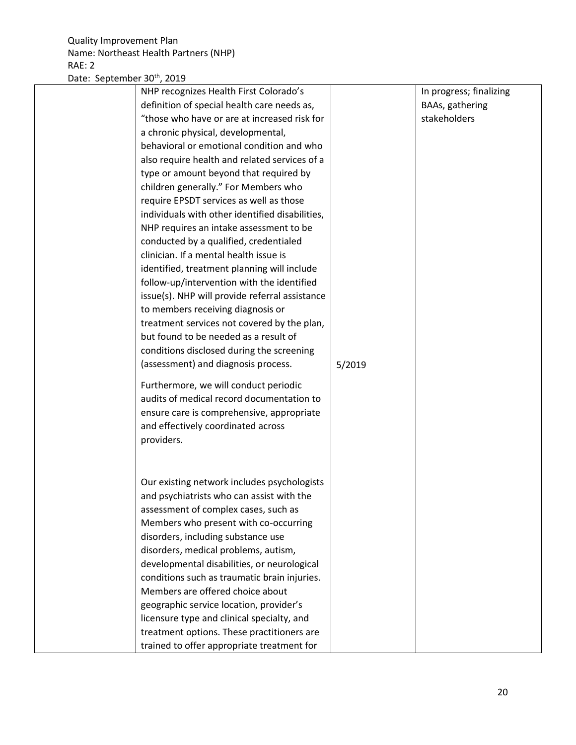| Date: September 30th, 2019 |                                                 |        |                         |
|----------------------------|-------------------------------------------------|--------|-------------------------|
|                            | NHP recognizes Health First Colorado's          |        | In progress; finalizing |
|                            | definition of special health care needs as,     |        | BAAs, gathering         |
|                            | "those who have or are at increased risk for    |        | stakeholders            |
|                            | a chronic physical, developmental,              |        |                         |
|                            | behavioral or emotional condition and who       |        |                         |
|                            | also require health and related services of a   |        |                         |
|                            | type or amount beyond that required by          |        |                         |
|                            | children generally." For Members who            |        |                         |
|                            | require EPSDT services as well as those         |        |                         |
|                            | individuals with other identified disabilities, |        |                         |
|                            | NHP requires an intake assessment to be         |        |                         |
|                            | conducted by a qualified, credentialed          |        |                         |
|                            | clinician. If a mental health issue is          |        |                         |
|                            | identified, treatment planning will include     |        |                         |
|                            | follow-up/intervention with the identified      |        |                         |
|                            | issue(s). NHP will provide referral assistance  |        |                         |
|                            | to members receiving diagnosis or               |        |                         |
|                            | treatment services not covered by the plan,     |        |                         |
|                            | but found to be needed as a result of           |        |                         |
|                            | conditions disclosed during the screening       |        |                         |
|                            | (assessment) and diagnosis process.             | 5/2019 |                         |
|                            | Furthermore, we will conduct periodic           |        |                         |
|                            | audits of medical record documentation to       |        |                         |
|                            | ensure care is comprehensive, appropriate       |        |                         |
|                            | and effectively coordinated across              |        |                         |
|                            | providers.                                      |        |                         |
|                            |                                                 |        |                         |
|                            |                                                 |        |                         |
|                            | Our existing network includes psychologists     |        |                         |
|                            | and psychiatrists who can assist with the       |        |                         |
|                            | assessment of complex cases, such as            |        |                         |
|                            | Members who present with co-occurring           |        |                         |
|                            | disorders, including substance use              |        |                         |
|                            | disorders, medical problems, autism,            |        |                         |
|                            | developmental disabilities, or neurological     |        |                         |
|                            | conditions such as traumatic brain injuries.    |        |                         |
|                            | Members are offered choice about                |        |                         |
|                            | geographic service location, provider's         |        |                         |
|                            | licensure type and clinical specialty, and      |        |                         |
|                            | treatment options. These practitioners are      |        |                         |
|                            | trained to offer appropriate treatment for      |        |                         |
|                            |                                                 |        |                         |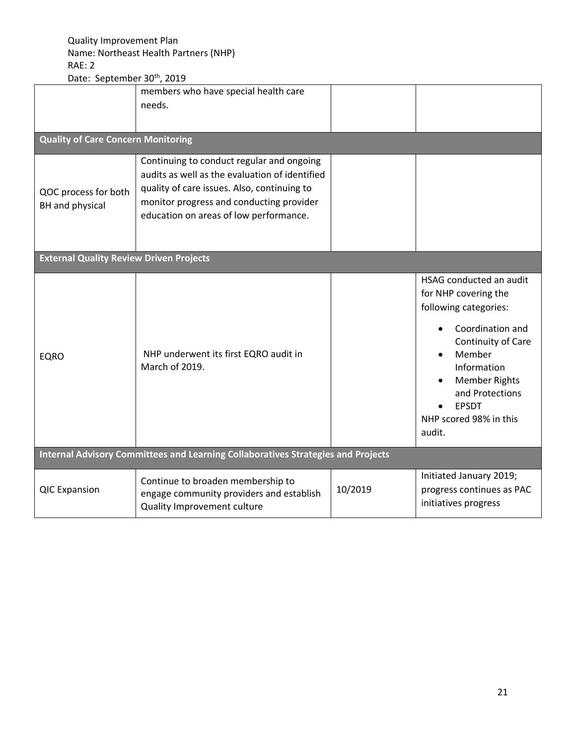| Late. September SO 1 2013<br><b>Quality of Care Concern Monitoring</b><br>QOC process for both<br>BH and physical | members who have special health care<br>needs.<br>Continuing to conduct regular and ongoing<br>audits as well as the evaluation of identified<br>quality of care issues. Also, continuing to<br>monitor progress and conducting provider<br>education on areas of low performance. |         |                                                                                                                                                                                                                                            |
|-------------------------------------------------------------------------------------------------------------------|------------------------------------------------------------------------------------------------------------------------------------------------------------------------------------------------------------------------------------------------------------------------------------|---------|--------------------------------------------------------------------------------------------------------------------------------------------------------------------------------------------------------------------------------------------|
| <b>External Quality Review Driven Projects</b>                                                                    |                                                                                                                                                                                                                                                                                    |         |                                                                                                                                                                                                                                            |
| <b>EQRO</b>                                                                                                       | NHP underwent its first EQRO audit in<br>March of 2019.                                                                                                                                                                                                                            |         | HSAG conducted an audit<br>for NHP covering the<br>following categories:<br>Coordination and<br>Continuity of Care<br>Member<br>Information<br><b>Member Rights</b><br>and Protections<br><b>EPSDT</b><br>NHP scored 98% in this<br>audit. |
| Internal Advisory Committees and Learning Collaboratives Strategies and Projects                                  |                                                                                                                                                                                                                                                                                    |         |                                                                                                                                                                                                                                            |
| <b>QIC Expansion</b>                                                                                              | Continue to broaden membership to<br>engage community providers and establish<br>Quality Improvement culture                                                                                                                                                                       | 10/2019 | Initiated January 2019;<br>progress continues as PAC<br>initiatives progress                                                                                                                                                               |